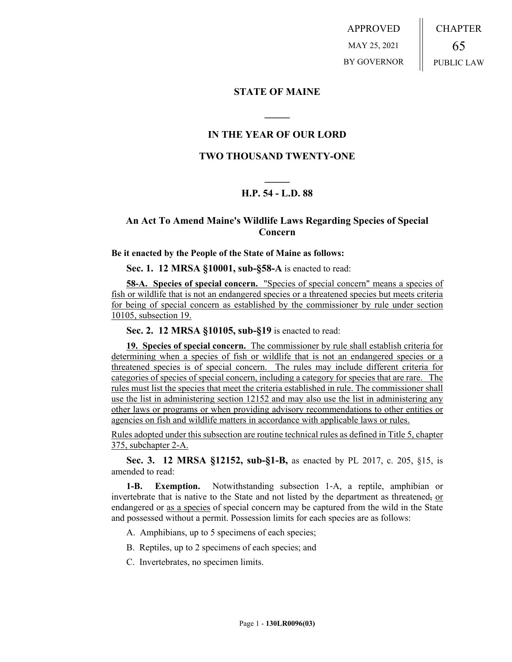APPROVED MAY 25, 2021 BY GOVERNOR CHAPTER 65 PUBLIC LAW

### **STATE OF MAINE**

# **IN THE YEAR OF OUR LORD**

**\_\_\_\_\_**

# **TWO THOUSAND TWENTY-ONE**

# **\_\_\_\_\_ H.P. 54 - L.D. 88**

# **An Act To Amend Maine's Wildlife Laws Regarding Species of Special Concern**

#### **Be it enacted by the People of the State of Maine as follows:**

**Sec. 1. 12 MRSA §10001, sub-§58-A** is enacted to read:

**58-A. Species of special concern.** "Species of special concern" means a species of fish or wildlife that is not an endangered species or a threatened species but meets criteria for being of special concern as established by the commissioner by rule under section 10105, subsection 19.

**Sec. 2. 12 MRSA §10105, sub-§19** is enacted to read:

**19. Species of special concern.** The commissioner by rule shall establish criteria for determining when a species of fish or wildlife that is not an endangered species or a threatened species is of special concern. The rules may include different criteria for categories of species of special concern, including a category for species that are rare. The rules must list the species that meet the criteria established in rule. The commissioner shall use the list in administering section 12152 and may also use the list in administering any other laws or programs or when providing advisory recommendations to other entities or agencies on fish and wildlife matters in accordance with applicable laws or rules.

Rules adopted under this subsection are routine technical rules as defined in Title 5, chapter 375, subchapter 2-A.

**Sec. 3. 12 MRSA §12152, sub-§1-B,** as enacted by PL 2017, c. 205, §15, is amended to read:

**1-B. Exemption.** Notwithstanding subsection 1‑A, a reptile, amphibian or invertebrate that is native to the State and not listed by the department as threatened, or endangered or as a species of special concern may be captured from the wild in the State and possessed without a permit. Possession limits for each species are as follows:

- A. Amphibians, up to 5 specimens of each species;
- B. Reptiles, up to 2 specimens of each species; and
- C. Invertebrates, no specimen limits.